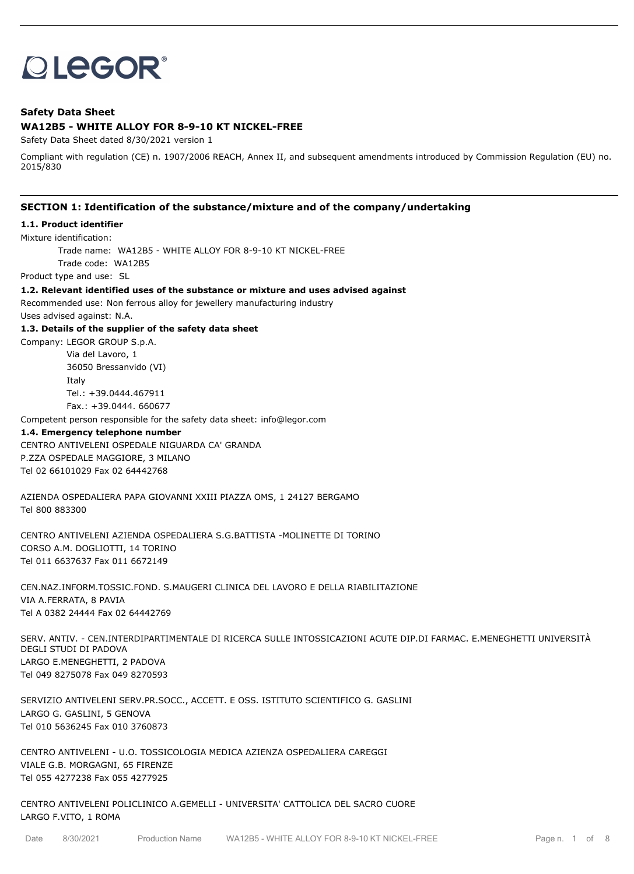# **OLEGOR®**

## **Safety Data Sheet WA12B5 - WHITE ALLOY FOR 8-9-10 KT NICKEL-FREE**

Safety Data Sheet dated 8/30/2021 version 1

Compliant with regulation (CE) n. 1907/2006 REACH, Annex II, and subsequent amendments introduced by Commission Regulation (EU) no. 2015/830

## **SECTION 1: Identification of the substance/mixture and of the company/undertaking**

#### **1.1. Product identifier**

Mixture identification:

Trade name: WA12B5 - WHITE ALLOY FOR 8-9-10 KT NICKEL-FREE

Trade code: WA12B5

Product type and use: SL

#### **1.2. Relevant identified uses of the substance or mixture and uses advised against**

Recommended use: Non ferrous alloy for jewellery manufacturing industry

Uses advised against: N.A.

#### **1.3. Details of the supplier of the safety data sheet**

Company: LEGOR GROUP S.p.A. Via del Lavoro, 1 36050 Bressanvido (VI) Italy Tel.: +39.0444.467911

Fax.: +39.0444. 660677

Competent person responsible for the safety data sheet: info@legor.com

#### **1.4. Emergency telephone number**

CENTRO ANTIVELENI OSPEDALE NIGUARDA CA' GRANDA P.ZZA OSPEDALE MAGGIORE, 3 MILANO Tel 02 66101029 Fax 02 64442768

AZIENDA OSPEDALIERA PAPA GIOVANNI XXIII PIAZZA OMS, 1 24127 BERGAMO Tel 800 883300

CENTRO ANTIVELENI AZIENDA OSPEDALIERA S.G.BATTISTA -MOLINETTE DI TORINO CORSO A.M. DOGLIOTTI, 14 TORINO Tel 011 6637637 Fax 011 6672149

CEN.NAZ.INFORM.TOSSIC.FOND. S.MAUGERI CLINICA DEL LAVORO E DELLA RIABILITAZIONE VIA A.FERRATA, 8 PAVIA Tel A 0382 24444 Fax 02 64442769

SERV. ANTIV. - CEN.INTERDIPARTIMENTALE DI RICERCA SULLE INTOSSICAZIONI ACUTE DIP.DI FARMAC. E.MENEGHETTI UNIVERSITÀ DEGLI STUDI DI PADOVA LARGO E.MENEGHETTI, 2 PADOVA Tel 049 8275078 Fax 049 8270593

SERVIZIO ANTIVELENI SERV.PR.SOCC., ACCETT. E OSS. ISTITUTO SCIENTIFICO G. GASLINI LARGO G. GASLINI, 5 GENOVA Tel 010 5636245 Fax 010 3760873

CENTRO ANTIVELENI - U.O. TOSSICOLOGIA MEDICA AZIENZA OSPEDALIERA CAREGGI VIALE G.B. MORGAGNI, 65 FIRENZE Tel 055 4277238 Fax 055 4277925

CENTRO ANTIVELENI POLICLINICO A.GEMELLI - UNIVERSITA' CATTOLICA DEL SACRO CUORE LARGO F.VITO, 1 ROMA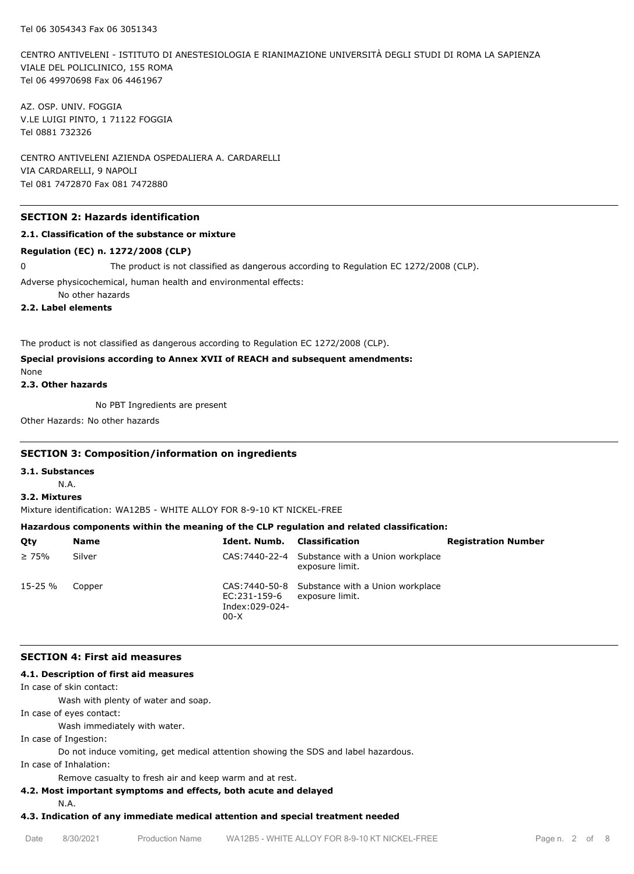CENTRO ANTIVELENI - ISTITUTO DI ANESTESIOLOGIA E RIANIMAZIONE UNIVERSITÀ DEGLI STUDI DI ROMA LA SAPIENZA VIALE DEL POLICLINICO, 155 ROMA Tel 06 49970698 Fax 06 4461967

AZ. OSP. UNIV. FOGGIA V.LE LUIGI PINTO, 1 71122 FOGGIA Tel 0881 732326

CENTRO ANTIVELENI AZIENDA OSPEDALIERA A. CARDARELLI VIA CARDARELLI, 9 NAPOLI Tel 081 7472870 Fax 081 7472880

## **SECTION 2: Hazards identification**

## **2.1. Classification of the substance or mixture**

#### **Regulation (EC) n. 1272/2008 (CLP)**

0 The product is not classified as dangerous according to Regulation EC 1272/2008 (CLP).

Adverse physicochemical, human health and environmental effects:

No other hazards

**2.2. Label elements**

The product is not classified as dangerous according to Regulation EC 1272/2008 (CLP).

# **Special provisions according to Annex XVII of REACH and subsequent amendments:**

None

**2.3. Other hazards**

No PBT Ingredients are present

Other Hazards: No other hazards

## **SECTION 3: Composition/information on ingredients**

**3.1. Substances**

N.A.

## **3.2. Mixtures**

Mixture identification: WA12B5 - WHITE ALLOY FOR 8-9-10 KT NICKEL-FREE

# **Hazardous components within the meaning of the CLP regulation and related classification:**

| Qty         | Name   | <b>Ident, Numb.</b> Classification       |                                                                    | <b>Registration Number</b> |
|-------------|--------|------------------------------------------|--------------------------------------------------------------------|----------------------------|
| $\geq 75\%$ | Silver |                                          | CAS: 7440-22-4 Substance with a Union workplace<br>exposure limit. |                            |
| 15-25 %     | Copper | EC:231-159-6<br>Index:029-024-<br>$00-X$ | CAS: 7440-50-8 Substance with a Union workplace<br>exposure limit. |                            |

## **SECTION 4: First aid measures**

## **4.1. Description of first aid measures**

In case of skin contact:

Wash with plenty of water and soap.

In case of eyes contact:

Wash immediately with water.

In case of Ingestion:

Do not induce vomiting, get medical attention showing the SDS and label hazardous.

In case of Inhalation:

Remove casualty to fresh air and keep warm and at rest.

# **4.2. Most important symptoms and effects, both acute and delayed**

N.A.

## **4.3. Indication of any immediate medical attention and special treatment needed**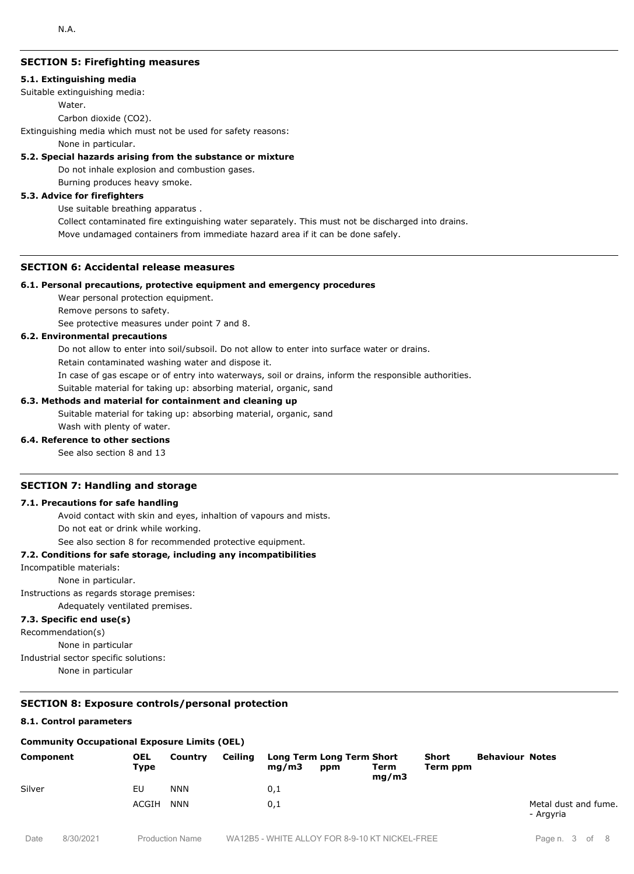# **SECTION 5: Firefighting measures**

#### **5.1. Extinguishing media**

Suitable extinguishing media:

Water.

Carbon dioxide (CO2).

Extinguishing media which must not be used for safety reasons:

None in particular.

#### **5.2. Special hazards arising from the substance or mixture**

Do not inhale explosion and combustion gases.

Burning produces heavy smoke.

## **5.3. Advice for firefighters**

Use suitable breathing apparatus .

Collect contaminated fire extinguishing water separately. This must not be discharged into drains. Move undamaged containers from immediate hazard area if it can be done safely.

## **SECTION 6: Accidental release measures**

#### **6.1. Personal precautions, protective equipment and emergency procedures**

Wear personal protection equipment.

Remove persons to safety.

See protective measures under point 7 and 8.

## **6.2. Environmental precautions**

Do not allow to enter into soil/subsoil. Do not allow to enter into surface water or drains.

Retain contaminated washing water and dispose it.

In case of gas escape or of entry into waterways, soil or drains, inform the responsible authorities.

Suitable material for taking up: absorbing material, organic, sand

#### **6.3. Methods and material for containment and cleaning up**

Suitable material for taking up: absorbing material, organic, sand Wash with plenty of water.

#### **6.4. Reference to other sections**

See also section 8 and 13

## **SECTION 7: Handling and storage**

#### **7.1. Precautions for safe handling**

Avoid contact with skin and eyes, inhaltion of vapours and mists.

Do not eat or drink while working.

See also section 8 for recommended protective equipment.

#### **7.2. Conditions for safe storage, including any incompatibilities**

Incompatible materials:

None in particular.

Instructions as regards storage premises:

Adequately ventilated premises.

# **7.3. Specific end use(s)**

Recommendation(s)

None in particular

Industrial sector specific solutions:

None in particular

## **SECTION 8: Exposure controls/personal protection**

#### **8.1. Control parameters**

#### **Community Occupational Exposure Limits (OEL)**

| Component | <b>OEL</b><br>Type | Country    | Ceiling | mq/m3 | Long Term Long Term Short<br>ppm | Term<br>mq/m3 | Short<br>Term ppm | <b>Behaviour Notes</b> |                                   |
|-----------|--------------------|------------|---------|-------|----------------------------------|---------------|-------------------|------------------------|-----------------------------------|
| Silver    | EU                 | <b>NNN</b> |         | 0,1   |                                  |               |                   |                        |                                   |
|           | ACGIH              | <b>NNN</b> |         | 0,1   |                                  |               |                   |                        | Metal dust and fume.<br>- Argyria |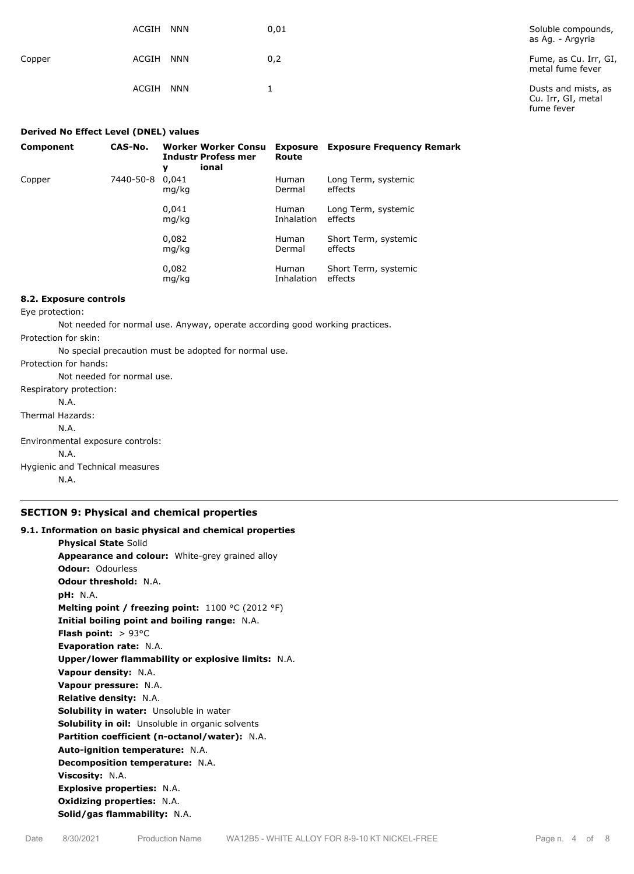|        | ACGIH<br><b>NNN</b> | 0,01 | Soluble compounds,<br>as Ag. - Argyria                  |
|--------|---------------------|------|---------------------------------------------------------|
| Copper | <b>NNN</b><br>ACGIH | 0,2  | Fume, as Cu. Irr, GI,<br>metal fume fever               |
|        | ACGIH<br><b>NNN</b> |      | Dusts and mists, as<br>Cu. Irr, GI, metal<br>fume fever |

| Derived No Effect Level (DNEL) values |           |                                                                        |                            |                                  |
|---------------------------------------|-----------|------------------------------------------------------------------------|----------------------------|----------------------------------|
| Component                             | CAS-No.   | <b>Worker Worker Consu</b><br><b>Industr Profess mer</b><br>ional<br>y | Exposure<br>Route          | <b>Exposure Frequency Remark</b> |
| Copper                                | 7440-50-8 | 0.041<br>mg/kg                                                         | <b>Human</b><br>Dermal     | Long Term, systemic<br>effects   |
|                                       |           | 0.041<br>mg/kg                                                         | <b>Human</b><br>Inhalation | Long Term, systemic<br>effects   |
|                                       |           | 0,082<br>mg/kg                                                         | <b>Human</b><br>Dermal     | Short Term, systemic<br>effects  |
|                                       |           | 0,082<br>mg/kg                                                         | <b>Human</b><br>Inhalation | Short Term, systemic<br>effects  |

## **8.2. Exposure controls**

Eye protection:

Not needed for normal use. Anyway, operate according good working practices.

Protection for skin:

No special precaution must be adopted for normal use.

Protection for hands:

Not needed for normal use. Respiratory protection:

N.A.

Thermal Hazards:

N.A.

Environmental exposure controls:

N.A.

Hygienic and Technical measures

N.A.

## **SECTION 9: Physical and chemical properties**

# **9.1. Information on basic physical and chemical properties Physical State** Solid **Appearance and colour:** White-grey grained alloy **Odour:** Odourless **Odour threshold:** N.A. **pH:** N.A. **Melting point / freezing point:** 1100 °C (2012 °F) **Initial boiling point and boiling range:** N.A. **Flash point:** > 93°C **Evaporation rate:** N.A. **Upper/lower flammability or explosive limits:** N.A. **Vapour density:** N.A. **Vapour pressure:** N.A. **Relative density:** N.A. **Solubility in water:** Unsoluble in water **Solubility in oil:** Unsoluble in organic solvents **Partition coefficient (n-octanol/water):** N.A. **Auto-ignition temperature:** N.A. **Decomposition temperature:** N.A. **Viscosity:** N.A. **Explosive properties:** N.A. **Oxidizing properties:** N.A. **Solid/gas flammability:** N.A.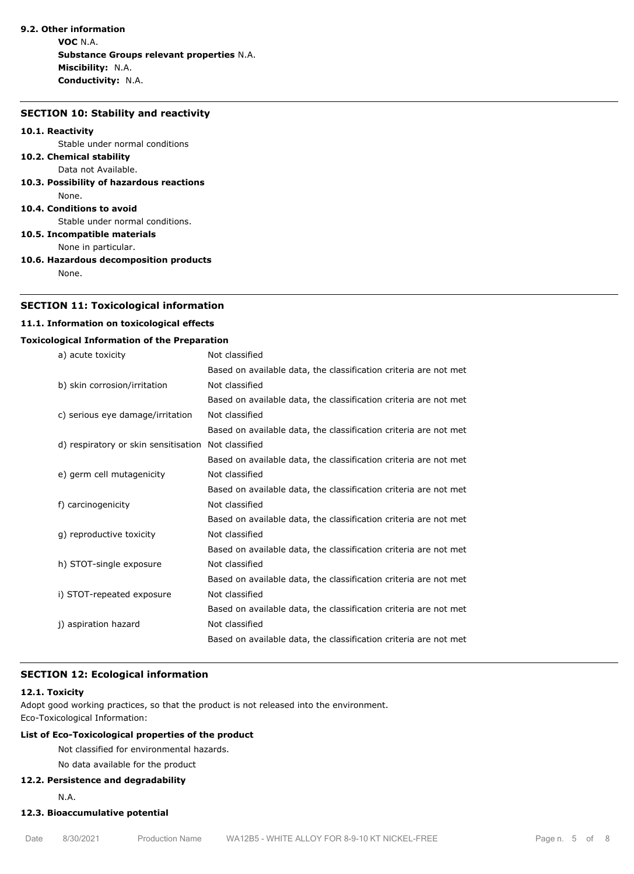# **9.2. Other information**

**VOC** N.A. **Substance Groups relevant properties** N.A. **Miscibility:** N.A. **Conductivity:** N.A.

#### **SECTION 10: Stability and reactivity**

#### **10.1. Reactivity**

Stable under normal conditions

#### **10.2. Chemical stability** Data not Available.

**10.3. Possibility of hazardous reactions** None.

#### **10.4. Conditions to avoid**

Stable under normal conditions.

**10.5. Incompatible materials**

None in particular.

**10.6. Hazardous decomposition products**

None.

## **SECTION 11: Toxicological information**

## **11.1. Information on toxicological effects**

## **Toxicological Information of the Preparation**

| a) acute toxicity                    | Not classified                                                   |
|--------------------------------------|------------------------------------------------------------------|
|                                      | Based on available data, the classification criteria are not met |
| b) skin corrosion/irritation         | Not classified                                                   |
|                                      | Based on available data, the classification criteria are not met |
| c) serious eye damage/irritation     | Not classified                                                   |
|                                      | Based on available data, the classification criteria are not met |
| d) respiratory or skin sensitisation | Not classified                                                   |
|                                      | Based on available data, the classification criteria are not met |
| e) germ cell mutagenicity            | Not classified                                                   |
|                                      | Based on available data, the classification criteria are not met |
| f) carcinogenicity                   | Not classified                                                   |
|                                      | Based on available data, the classification criteria are not met |
| g) reproductive toxicity             | Not classified                                                   |
|                                      | Based on available data, the classification criteria are not met |
| h) STOT-single exposure              | Not classified                                                   |
|                                      | Based on available data, the classification criteria are not met |
| i) STOT-repeated exposure            | Not classified                                                   |
|                                      | Based on available data, the classification criteria are not met |
| j) aspiration hazard                 | Not classified                                                   |
|                                      | Based on available data, the classification criteria are not met |

# **SECTION 12: Ecological information**

## **12.1. Toxicity**

Adopt good working practices, so that the product is not released into the environment. Eco-Toxicological Information:

# **List of Eco-Toxicological properties of the product**

Not classified for environmental hazards.

# No data available for the product

## **12.2. Persistence and degradability**

N.A.

# **12.3. Bioaccumulative potential**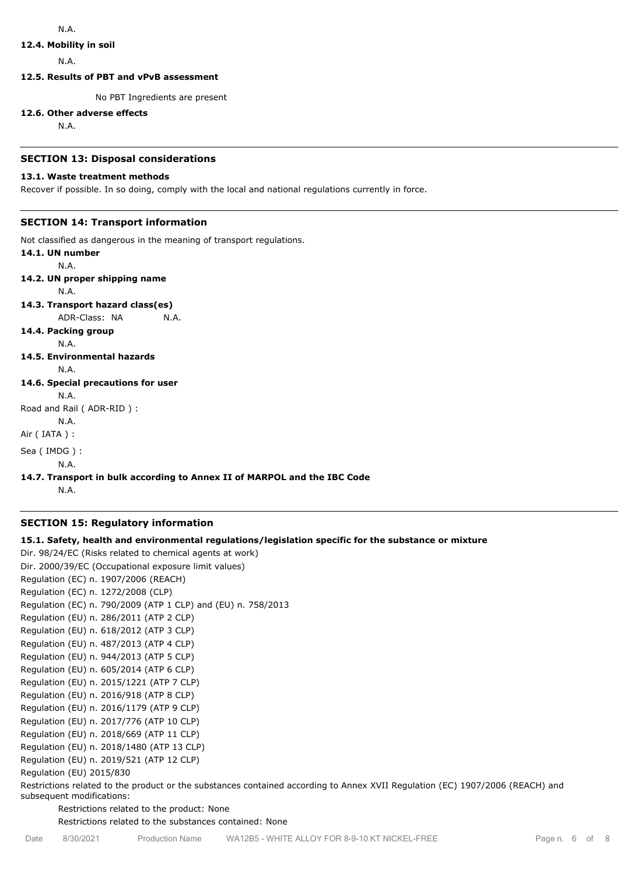## **12.4. Mobility in soil**

N.A.

**12.5. Results of PBT and vPvB assessment**

No PBT Ingredients are present

#### **12.6. Other adverse effects**

N.A.

## **SECTION 13: Disposal considerations**

## **13.1. Waste treatment methods**

Recover if possible. In so doing, comply with the local and national regulations currently in force.

# **SECTION 14: Transport information**

Not classified as dangerous in the meaning of transport regulations.

**14.1. UN number** N.A. **14.2. UN proper shipping name** N.A. **14.3. Transport hazard class(es)** ADR-Class: NA N.A. **14.4. Packing group** N.A. **14.5. Environmental hazards** N.A. **14.6. Special precautions for user** N.A. Road and Rail ( ADR-RID ) : N.A. Air ( IATA ) : Sea ( IMDG ) : N.A.

# **14.7. Transport in bulk according to Annex II of MARPOL and the IBC Code**

N.A.

## **SECTION 15: Regulatory information**

## **15.1. Safety, health and environmental regulations/legislation specific for the substance or mixture**

Dir. 98/24/EC (Risks related to chemical agents at work) Dir. 2000/39/EC (Occupational exposure limit values) Regulation (EC) n. 1907/2006 (REACH) Regulation (EC) n. 1272/2008 (CLP) Regulation (EC) n. 790/2009 (ATP 1 CLP) and (EU) n. 758/2013 Regulation (EU) n. 286/2011 (ATP 2 CLP) Regulation (EU) n. 618/2012 (ATP 3 CLP) Regulation (EU) n. 487/2013 (ATP 4 CLP) Regulation (EU) n. 944/2013 (ATP 5 CLP) Regulation (EU) n. 605/2014 (ATP 6 CLP) Regulation (EU) n. 2015/1221 (ATP 7 CLP) Regulation (EU) n. 2016/918 (ATP 8 CLP) Regulation (EU) n. 2016/1179 (ATP 9 CLP) Regulation (EU) n. 2017/776 (ATP 10 CLP) Regulation (EU) n. 2018/669 (ATP 11 CLP) Regulation (EU) n. 2018/1480 (ATP 13 CLP) Regulation (EU) n. 2019/521 (ATP 12 CLP) Regulation (EU) 2015/830

Restrictions related to the product or the substances contained according to Annex XVII Regulation (EC) 1907/2006 (REACH) and subsequent modifications:

Restrictions related to the product: None

Restrictions related to the substances contained: None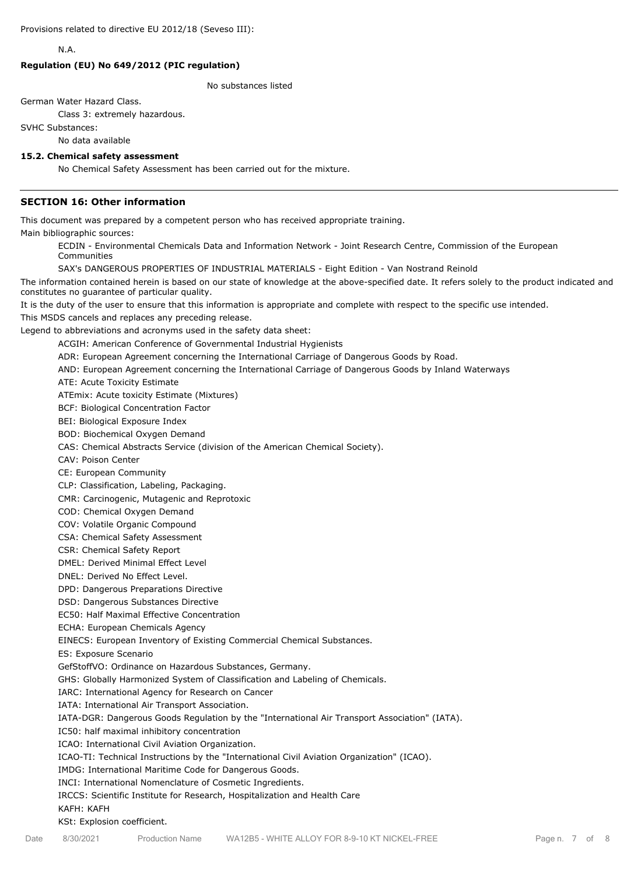N.A.

## **Regulation (EU) No 649/2012 (PIC regulation)**

No substances listed

German Water Hazard Class.

Class 3: extremely hazardous.

SVHC Substances:

No data available

#### **15.2. Chemical safety assessment**

No Chemical Safety Assessment has been carried out for the mixture.

## **SECTION 16: Other information**

This document was prepared by a competent person who has received appropriate training.

Main bibliographic sources:

ECDIN - Environmental Chemicals Data and Information Network - Joint Research Centre, Commission of the European Communities

SAX's DANGEROUS PROPERTIES OF INDUSTRIAL MATERIALS - Eight Edition - Van Nostrand Reinold

The information contained herein is based on our state of knowledge at the above-specified date. It refers solely to the product indicated and constitutes no guarantee of particular quality.

It is the duty of the user to ensure that this information is appropriate and complete with respect to the specific use intended.

This MSDS cancels and replaces any preceding release.

Legend to abbreviations and acronyms used in the safety data sheet:

ACGIH: American Conference of Governmental Industrial Hygienists

ADR: European Agreement concerning the International Carriage of Dangerous Goods by Road.

AND: European Agreement concerning the International Carriage of Dangerous Goods by Inland Waterways

ATE: Acute Toxicity Estimate

ATEmix: Acute toxicity Estimate (Mixtures)

BCF: Biological Concentration Factor

BEI: Biological Exposure Index

BOD: Biochemical Oxygen Demand

CAS: Chemical Abstracts Service (division of the American Chemical Society).

CAV: Poison Center

CE: European Community

CLP: Classification, Labeling, Packaging.

CMR: Carcinogenic, Mutagenic and Reprotoxic

COD: Chemical Oxygen Demand

COV: Volatile Organic Compound

CSA: Chemical Safety Assessment

CSR: Chemical Safety Report

DMEL: Derived Minimal Effect Level

DNEL: Derived No Effect Level.

DPD: Dangerous Preparations Directive

DSD: Dangerous Substances Directive

EC50: Half Maximal Effective Concentration

ECHA: European Chemicals Agency

EINECS: European Inventory of Existing Commercial Chemical Substances.

ES: Exposure Scenario

GefStoffVO: Ordinance on Hazardous Substances, Germany.

GHS: Globally Harmonized System of Classification and Labeling of Chemicals.

IARC: International Agency for Research on Cancer

IATA: International Air Transport Association.

IATA-DGR: Dangerous Goods Regulation by the "International Air Transport Association" (IATA).

IC50: half maximal inhibitory concentration

ICAO: International Civil Aviation Organization.

ICAO-TI: Technical Instructions by the "International Civil Aviation Organization" (ICAO).

IMDG: International Maritime Code for Dangerous Goods.

INCI: International Nomenclature of Cosmetic Ingredients.

IRCCS: Scientific Institute for Research, Hospitalization and Health Care

#### KAFH: KAFH

KSt: Explosion coefficient.